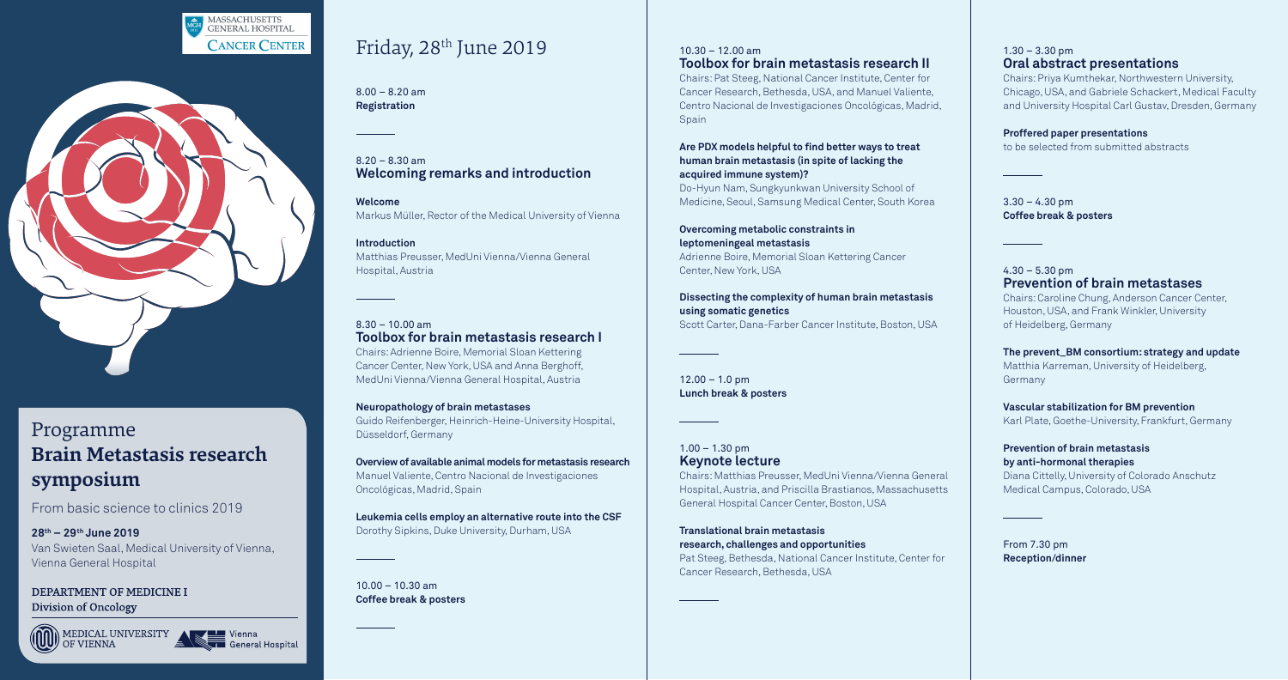8.00 – 8.20 am **Registration** 

8.20 – 8.30 am **Welcoming remarks and introduction**

**Welcome** Markus Müller, Rector of the Medical University of Vienna

**Introduction** Matthias Preusser, MedUni Vienna/Vienna General Hospital, Austria

8.30 – 10.00 am **Toolbox for brain metastasis research I** Chairs: Adrienne Boire, Memorial Sloan Kettering Cancer Center, New York, USA and Anna Berghoff, MedUni Vienna/Vienna General Hospital, Austria

 $10.00 - 10.30$  am **Coffee break & posters**

### $10.30 - 12.00$  am **Toolbox for brain metastasis research II**

Chairs: Pat Steeg, National Cancer Institute, Center for Cancer Research, Bethesda, USA, and Manuel Valiente, Centro Nacional de Investigaciones Oncológicas, Madrid, Spain

**Neuropathology of brain metastases** Guido Reifenberger, Heinrich-Heine-University Hospital, Düsseldorf, Germany

**Overview of available animal models for metastasis research** Manuel Valiente, Centro Nacional de Investigaciones Oncológicas, Madrid, Spain

**Leukemia cells employ an alternative route into the CSF** Dorothy Sipkins, Duke University, Durham, USA

 $12.00 - 1.0$  pm **Lunch break & posters**

 $1.00 - 1.30$  pm **Keynote lecture**

#### $1.30 - 3.30$  pm **Oral abstract presentations**

 $3.30 - 4.30$  pm **Coffee break & posters**

**Are PDX models helpful to find better ways to treat human brain metastasis (in spite of lacking the acquired immune system)?**

> $4.30 - 5.30$  pm **Prevention of brain metastases** Chairs: Caroline Chung, Anderson Cancer Center,

Do-Hyun Nam, Sungkyunkwan University School of Medicine, Seoul, Samsung Medical Center, South Korea

**Overcoming metabolic constraints in leptomeningeal metastasis** Adrienne Boire, Memorial Sloan Kettering Cancer Center, New York, USA

**Dissecting the complexity of human brain metastasis using somatic genetics** Scott Carter, Dana-Farber Cancer Institute, Boston, USA

Chairs: Matthias Preusser, MedUni Vienna/Vienna General Hospital, Austria, and Priscilla Brastianos, Massachusetts General Hospital Cancer Center, Boston, USA

**Translational brain metastasis research, challenges and opportunities** Pat Steeg, Bethesda, National Cancer Institute, Center for Cancer Research, Bethesda, USA

Chairs: Priya Kumthekar, Northwestern University, Chicago, USA, and Gabriele Schackert, Medical Faculty and University Hospital Carl Gustav, Dresden, Germany

#### **Proffered paper presentations**

to be selected from submitted abstracts

Houston, USA, and Frank Winkler, University of Heidelberg, Germany

**The prevent\_BM consortium: strategy and update** Matthia Karreman, University of Heidelberg, Germany

**Vascular stabilization for BM prevention** Karl Plate, Goethe-University, Frankfurt, Germany

**Prevention of brain metastasis by anti-hormonal therapies** Diana Cittelly, University of Colorado Anschutz

Medical Campus, Colorado, USA

From 7.30 pm **Reception/dinner**





## Programme **Brain Metastasis research symposium**

From basic science to clinics 2019

**28th – 29th June 2019** Van Swieten Saal, Medical University of Vienna, Vienna General Hospital

DEPARTMENT OF MEDICINE I **Division of Oncology** 





## Friday, 28<sup>th</sup> June 2019